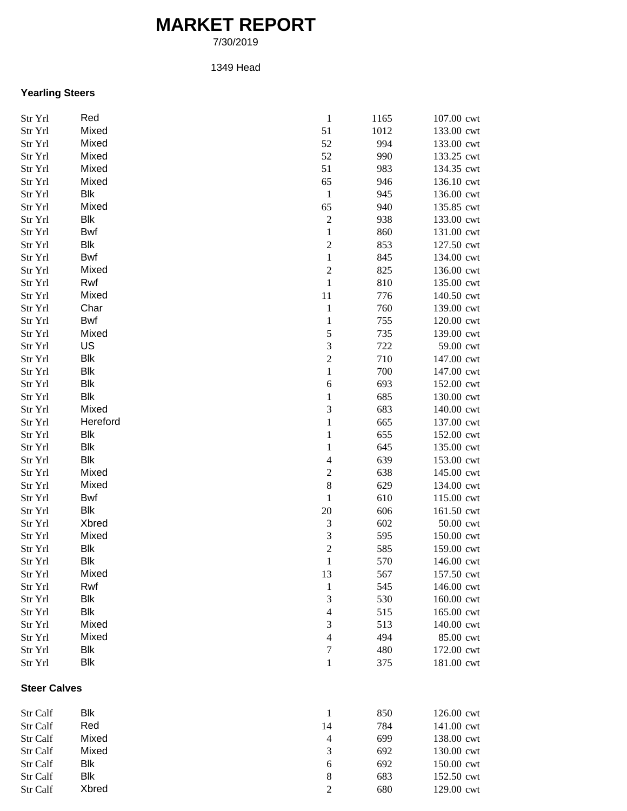## **MARKET REPORT**

7/30/2019

## 1349 Head

## **Yearling Steers**

| Str Yrl             | Red        | $\,1\,$                 | 1165 | 107.00 cwt |
|---------------------|------------|-------------------------|------|------------|
| Str Yrl             | Mixed      | 51                      | 1012 | 133.00 cwt |
| Str Yrl             | Mixed      | 52                      | 994  | 133.00 cwt |
| Str Yrl             | Mixed      | 52                      | 990  | 133.25 cwt |
| Str Yrl             | Mixed      | 51                      | 983  | 134.35 cwt |
| Str Yrl             | Mixed      | 65                      | 946  | 136.10 cwt |
| Str Yrl             | Blk        | $\mathbf{1}$            | 945  | 136.00 cwt |
| Str Yrl             | Mixed      | 65                      | 940  | 135.85 cwt |
| Str Yrl             | Blk        | $\overline{c}$          | 938  | 133.00 cwt |
| Str Yrl             | <b>Bwf</b> | $\,1$                   | 860  | 131.00 cwt |
| Str Yrl             | Blk        | $\overline{c}$          | 853  | 127.50 cwt |
| Str Yrl             | Bwf        | $\,1$                   | 845  | 134.00 cwt |
| Str Yrl             | Mixed      | $\overline{\mathbf{c}}$ | 825  | 136.00 cwt |
| Str Yrl             | Rwf        | $\,1\,$                 | 810  | 135.00 cwt |
| Str Yrl             | Mixed      | 11                      | 776  | 140.50 cwt |
| Str Yrl             | Char       | $\mathbf{1}$            | 760  | 139.00 cwt |
| Str Yrl             | Bwf        | $\mathbf{1}$            | 755  | 120.00 cwt |
| Str Yrl             | Mixed      | 5                       | 735  | 139.00 cwt |
| Str Yrl             | US         | 3                       | 722  | 59.00 cwt  |
| Str Yrl             | Blk        | $\overline{c}$          | 710  | 147.00 cwt |
| Str Yrl             | Blk        | $\,1$                   | 700  | 147.00 cwt |
| Str Yrl             | <b>Blk</b> | 6                       | 693  | 152.00 cwt |
| Str Yrl             | <b>Blk</b> | $\mathbf{1}$            | 685  | 130.00 cwt |
| Str Yrl             | Mixed      | 3                       | 683  | 140.00 cwt |
| Str Yrl             | Hereford   | $\,1$                   | 665  | 137.00 cwt |
| Str Yrl             | Blk        | $\mathbf{1}$            | 655  | 152.00 cwt |
| Str Yrl             | Blk        | $\mathbf{1}$            | 645  | 135.00 cwt |
| Str Yrl             | Blk        | $\overline{4}$          | 639  | 153.00 cwt |
| Str Yrl             | Mixed      | $\overline{c}$          | 638  | 145.00 cwt |
| Str Yrl             | Mixed      | $\,$ 8 $\,$             | 629  | 134.00 cwt |
| Str Yrl             | Bwf        | $\mathbf{1}$            | 610  | 115.00 cwt |
| Str Yrl             | Blk        | 20                      | 606  | 161.50 cwt |
| Str Yrl             | Xbred      | $\sqrt{3}$              | 602  | 50.00 cwt  |
| Str Yrl             | Mixed      | 3                       | 595  | 150.00 cwt |
| Str Yrl             | Blk        | $\overline{c}$          | 585  | 159.00 cwt |
| Str Yrl             | Blk        | $\,1$                   | 570  | 146.00 cwt |
| Str Yrl             | Mixed      | 13                      | 567  | 157.50 cwt |
| Str Yrl             | Rwf        | $\mathbf{1}$            | 545  | 146.00 cwt |
| Str Yrl             | Blk        | $\mathfrak{Z}$          | 530  | 160.00 cwt |
| Str Yrl             | Blk        | $\overline{4}$          | 515  | 165.00 cwt |
| Str Yrl             | Mixed      | 3                       | 513  | 140.00 cwt |
| Str Yrl             | Mixed      | $\overline{4}$          | 494  | 85.00 cwt  |
| Str Yrl             | Blk        | $\boldsymbol{7}$        | 480  | 172.00 cwt |
| Str Yrl             | Blk        | $\mathbf{1}$            | 375  | 181.00 cwt |
| <b>Steer Calves</b> |            |                         |      |            |
| Str Calf            | Blk        | $\mathbf{1}$            | 850  | 126.00 cwt |
| Str Calf            | Red        | 14                      | 784  | 141.00 cwt |
| Str Calf            | Mixed      | $\overline{4}$          | 699  | 138.00 cwt |
| Str Calf            | Mixed      | 3                       | 692  | 130.00 cwt |
| Str Calf            | Blk        | $\sqrt{6}$              | 692  | 150.00 cwt |
| Str Calf            | Blk        | $\,$ 8 $\,$             | 683  | 152.50 cwt |
| Str Calf            | Xbred      | $\mathfrak{2}$          | 680  | 129.00 cwt |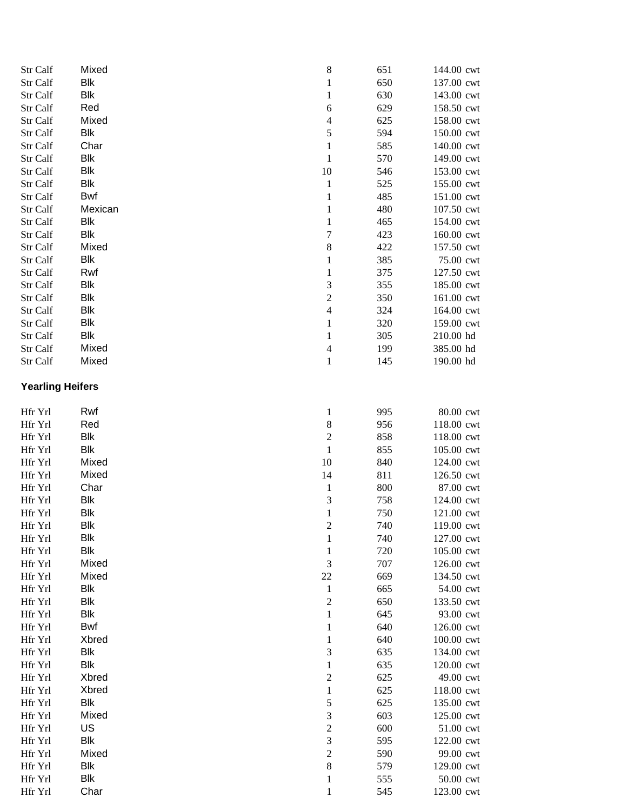| Str Calf                | Mixed          | $\,$ 8 $\,$              | 651        | 144.00 cwt               |
|-------------------------|----------------|--------------------------|------------|--------------------------|
| Str Calf                | <b>Blk</b>     | $\mathbf{1}$             | 650        | 137.00 cwt               |
| Str Calf                | <b>Blk</b>     | $\,1$                    | 630        | 143.00 cwt               |
| Str Calf                | Red            | 6                        | 629        | 158.50 cwt               |
| Str Calf                | Mixed          | $\overline{\mathcal{L}}$ | 625        | 158.00 cwt               |
| Str Calf                | Blk            | 5                        | 594        | 150.00 cwt               |
| Str Calf                | Char           | $\,1$                    | 585        | 140.00 cwt               |
| Str Calf                | <b>Blk</b>     | $\mathbf 1$              | 570        | 149.00 cwt               |
| Str Calf                | <b>Blk</b>     | 10                       | 546        | 153.00 cwt               |
| Str Calf                | Blk            | $\mathbf{1}$             | 525        | 155.00 cwt               |
| Str Calf                | <b>Bwf</b>     | $\mathbf{1}$             | 485        | 151.00 cwt               |
| Str Calf                | Mexican        | $\,1$                    | 480        | 107.50 cwt               |
| Str Calf                | <b>Blk</b>     | $\,1$                    | 465        | 154.00 cwt               |
| Str Calf                | Blk            | $\overline{7}$           | 423        | 160.00 cwt               |
| Str Calf                | Mixed          | 8                        | 422        | 157.50 cwt               |
| Str Calf                | Blk            | $\,1$                    | 385        | 75.00 cwt                |
| Str Calf                | Rwf            | $\,1$                    | 375        | 127.50 cwt               |
| Str Calf                | <b>Blk</b>     | 3                        | 355        | 185.00 cwt               |
| Str Calf                | <b>Blk</b>     | $\overline{c}$           | 350        | 161.00 cwt               |
| Str Calf                | <b>Blk</b>     | $\overline{\mathcal{L}}$ | 324        | 164.00 cwt               |
| Str Calf                | <b>Blk</b>     | $\,1$                    | 320        | 159.00 cwt               |
| Str Calf                | <b>Blk</b>     | $\mathbf{1}$             | 305        | 210.00 hd                |
| Str Calf                | Mixed<br>Mixed | $\overline{\mathcal{L}}$ | 199        | 385.00 hd                |
| Str Calf                |                | $\mathbf{1}$             | 145        | 190.00 hd                |
| <b>Yearling Heifers</b> |                |                          |            |                          |
| Hfr Yrl                 | Rwf            | $\mathbf{1}$             | 995        | 80.00 cwt                |
| Hfr Yrl                 | Red            | 8                        | 956        | 118.00 cwt               |
| Hfr Yrl                 | <b>Blk</b>     | $\overline{c}$           | 858        | 118.00 cwt               |
| Hfr Yrl                 | <b>Blk</b>     | $\,1$                    | 855        | 105.00 cwt               |
| Hfr Yrl                 | Mixed          | $10\,$                   | 840        | 124.00 cwt               |
| Hfr Yrl                 | Mixed          | 14                       | 811        | 126.50 cwt               |
| Hfr Yrl                 | Char           | $\mathbf{1}$             | 800        | 87.00 cwt                |
| Hfr Yrl                 | <b>Blk</b>     | 3                        | 758        | 124.00 cwt               |
| Hfr Yrl                 | Blk            | $\mathbf 1$              | 750        | 121.00 cwt               |
| Hfr Yrl                 | <b>Blk</b>     | $\overline{c}$           | 740        | 119.00 cwt               |
| Hfr Yrl                 | Blk            | $\mathbf{1}$             | 740        | 127.00 cwt               |
| Hfr Yrl                 | <b>Blk</b>     | 1                        | 720        | 105.00 cwt               |
| Hfr Yrl                 | Mixed          | 3                        | 707        | 126.00 cwt               |
| Hfr Yrl                 | Mixed          | $22\,$                   | 669        | 134.50 cwt               |
| Hfr Yrl                 | <b>Blk</b>     | $\mathbf{1}$             | 665        | 54.00 cwt                |
| Hfr Yrl                 | <b>Blk</b>     | $\overline{c}$           | 650        | 133.50 cwt               |
| Hfr Yrl                 | Blk<br>Bwf     | $\,1$                    | 645        | 93.00 cwt<br>126.00 cwt  |
| Hfr Yrl                 | Xbred          | $\mathbf{1}$<br>$\,1$    | 640<br>640 |                          |
| Hfr Yrl<br>Hfr Yrl      | Blk            | 3                        | 635        | 100.00 cwt<br>134.00 cwt |
| Hfr Yrl                 | Blk            | $\,1$                    | 635        | 120.00 cwt               |
| Hfr Yrl                 | Xbred          | $\overline{c}$           | 625        | 49.00 cwt                |
| Hfr Yrl                 | Xbred          | $\,1$                    | 625        | 118.00 cwt               |
| Hfr Yrl                 | <b>Blk</b>     | 5                        | 625        | 135.00 cwt               |
| Hfr Yrl                 | Mixed          | 3                        | 603        | 125.00 cwt               |
| Hfr Yrl                 | US             | $\overline{c}$           | 600        | 51.00 cwt                |
| Hfr Yrl                 | <b>Blk</b>     | 3                        | 595        | 122.00 cwt               |
| Hfr Yrl                 | Mixed          | $\overline{c}$           | 590        | 99.00 cwt                |
| Hfr Yrl                 | Blk            | 8                        | 579        | 129.00 cwt               |
| Hfr Yrl                 | Blk            | $\mathbf{1}$             | 555        | 50.00 cwt                |
| Hfr Yrl                 | Char           | $\mathbf{1}$             | 545        | 123.00 cwt               |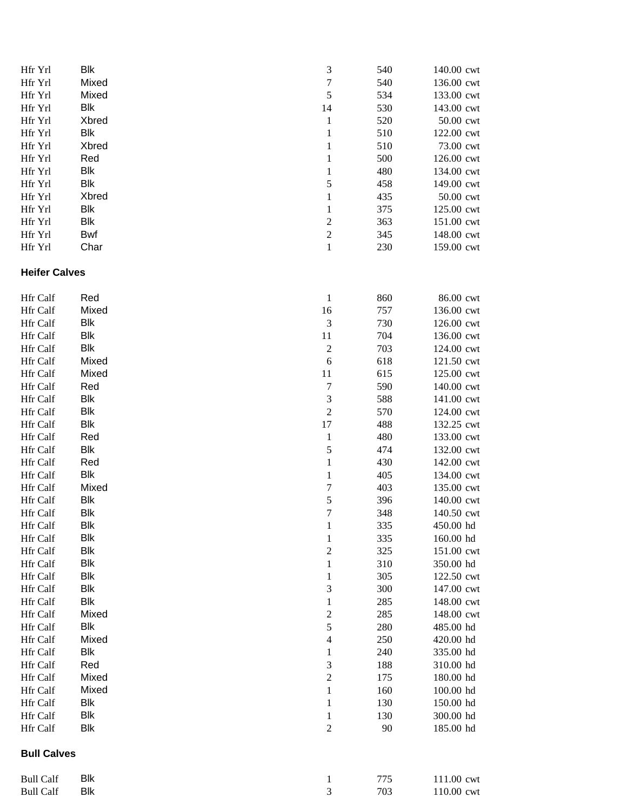| Hfr Yrl              | Blk          | 3                        | 540 | 140.00 cwt |
|----------------------|--------------|--------------------------|-----|------------|
| Hfr Yrl              | Mixed        | 7                        | 540 | 136.00 cwt |
| Hfr Yrl              | Mixed        | 5                        | 534 | 133.00 cwt |
| Hfr Yrl              | Blk          | 14                       | 530 | 143.00 cwt |
| Hfr Yrl              | <b>Xbred</b> | $\mathbf{1}$             | 520 | 50.00 cwt  |
| Hfr Yrl              | Blk          | $\,1\,$                  | 510 | 122.00 cwt |
| Hfr Yrl              | <b>Xbred</b> | $\,1$                    | 510 | 73.00 cwt  |
| Hfr Yrl              | Red          | $\,1$                    | 500 | 126.00 cwt |
| Hfr Yrl              | Blk          | $\,1\,$                  | 480 | 134.00 cwt |
| Hfr Yrl              | Blk          | 5                        | 458 | 149.00 cwt |
| Hfr Yrl              | <b>Xbred</b> | $\,1\,$                  | 435 | 50.00 cwt  |
| Hfr Yrl              | Blk          | $\,1$                    | 375 | 125.00 cwt |
| Hfr Yrl              | Blk          | $\overline{\mathbf{c}}$  | 363 | 151.00 cwt |
| Hfr Yrl              | Bwf          | $\overline{\mathbf{c}}$  | 345 | 148.00 cwt |
| Hfr Yrl              | Char         | $\,1$                    | 230 | 159.00 cwt |
| <b>Heifer Calves</b> |              |                          |     |            |
| Hfr Calf             | Red          | $\mathbf{1}$             | 860 | 86.00 cwt  |
| Hfr Calf             | Mixed        | 16                       | 757 | 136.00 cwt |
| Hfr Calf             | Blk          | $\mathfrak{Z}$           | 730 | 126.00 cwt |
| Hfr Calf             | <b>Blk</b>   | 11                       | 704 | 136.00 cwt |
| Hfr Calf             | Blk          | $\boldsymbol{2}$         | 703 | 124.00 cwt |
| Hfr Calf             | Mixed        | 6                        | 618 | 121.50 cwt |
| Hfr Calf             | Mixed        | $11\,$                   | 615 | 125.00 cwt |
| Hfr Calf             | Red          | $\sqrt{ }$               | 590 | 140.00 cwt |
| Hfr Calf             | Blk          | 3                        | 588 | 141.00 cwt |
| Hfr Calf             | Blk          | $\overline{c}$           | 570 | 124.00 cwt |
| Hfr Calf             | Blk          | 17                       | 488 | 132.25 cwt |
| Hfr Calf             | Red          | $\mathbf{1}$             | 480 | 133.00 cwt |
| Hfr Calf             | Blk          | 5                        | 474 | 132.00 cwt |
| Hfr Calf             | Red          | $\,1$                    | 430 | 142.00 cwt |
| Hfr Calf             | Blk          | $\mathbf{1}$             | 405 | 134.00 cwt |
| Hfr Calf             | Mixed        | $\overline{7}$           | 403 | 135.00 cwt |
| Hfr Calf             | Blk          | 5                        | 396 | 140.00 cwt |
| Hfr Calf             | Blk          | 7                        | 348 | 140.50 cwt |
| Hfr Calf             | Blk          | $\mathbf{1}$             | 335 | 450.00 hd  |
| Hfr Calf             | Blk          | $\mathbf{1}$             | 335 | 160.00 hd  |
| Hfr Calf             | Blk          | $\overline{c}$           | 325 | 151.00 cwt |
| Hfr Calf             | Blk          | $\,1$                    | 310 | 350.00 hd  |
| Hfr Calf             | Blk          | $\mathbf{1}$             | 305 | 122.50 cwt |
| Hfr Calf             | Blk          | 3                        | 300 | 147.00 cwt |
| Hfr Calf             | Blk          | $\,1$                    | 285 | 148.00 cwt |
| Hfr Calf             | Mixed        | $\overline{\mathbf{c}}$  | 285 | 148.00 cwt |
| Hfr Calf             | Blk          | 5                        | 280 | 485.00 hd  |
| Hfr Calf             | Mixed        | $\overline{\mathcal{L}}$ | 250 | 420.00 hd  |
| Hfr Calf             | Blk          | $\mathbf 1$              | 240 | 335.00 hd  |
| Hfr Calf             | Red          | 3                        | 188 | 310.00 hd  |
| Hfr Calf             | Mixed        | $\overline{c}$           | 175 | 180.00 hd  |
| Hfr Calf             | Mixed        | $\,1$                    | 160 | 100.00 hd  |
| Hfr Calf             | Blk          | $\,1\,$                  | 130 | 150.00 hd  |
| Hfr Calf             | Blk          | $\mathbf{1}$             | 130 | 300.00 hd  |
| Hfr Calf             | Blk          | $\overline{2}$           | 90  | 185.00 hd  |
| <b>Bull Calves</b>   |              |                          |     |            |
| <b>Bull Calf</b>     | Blk          | $\mathbf{1}$             | 775 | 111.00 cwt |
| <b>Bull Calf</b>     | Blk          | $\mathfrak{Z}$           | 703 | 110.00 cwt |
|                      |              |                          |     |            |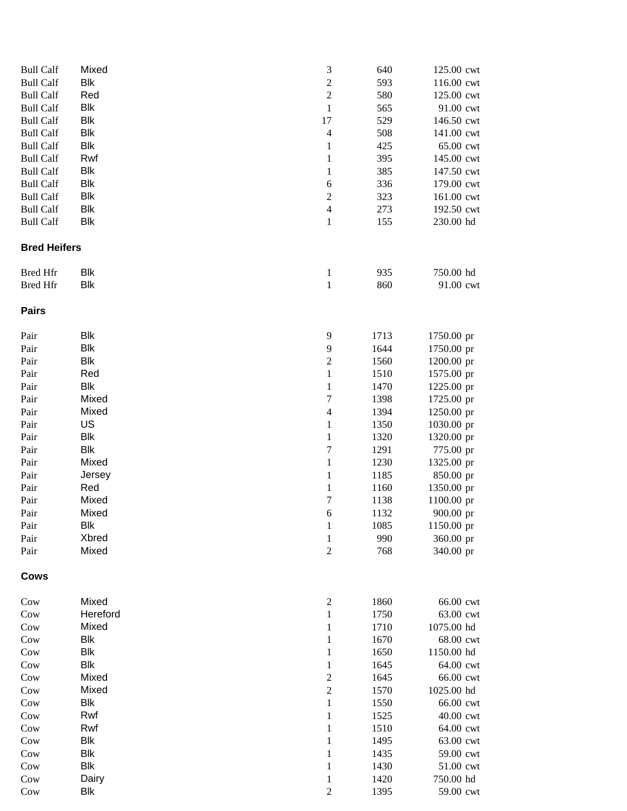| <b>Bull Calf</b>    | Mixed               | $\ensuremath{\mathfrak{Z}}$ | 640          | 125.00 cwt              |
|---------------------|---------------------|-----------------------------|--------------|-------------------------|
| <b>Bull Calf</b>    | <b>Blk</b>          | $\overline{c}$              | 593          | 116.00 cwt              |
| <b>Bull Calf</b>    | Red                 | $\overline{c}$              | 580          | 125.00 cwt              |
| <b>Bull Calf</b>    | <b>Blk</b>          | $\mathbf{1}$                | 565          | 91.00 cwt               |
| <b>Bull Calf</b>    | <b>Blk</b>          | 17                          | 529          | 146.50 cwt              |
| <b>Bull Calf</b>    | <b>Blk</b>          | $\overline{4}$              | 508          | 141.00 cwt              |
| <b>Bull Calf</b>    | <b>Blk</b>          | $\mathbf{1}$                | 425          | 65.00 cwt               |
| <b>Bull Calf</b>    | Rwf                 | $\mathbf{1}$                | 395          | 145.00 cwt              |
| <b>Bull Calf</b>    | <b>Blk</b>          | $\mathbf{1}$                | 385          | 147.50 cwt              |
| <b>Bull Calf</b>    | <b>Blk</b>          | $\sqrt{6}$                  | 336          | 179.00 cwt              |
| <b>Bull Calf</b>    | <b>Blk</b>          | $\overline{c}$              | 323          | 161.00 cwt              |
| <b>Bull Calf</b>    | <b>Blk</b>          | $\overline{\mathbf{4}}$     | 273          | 192.50 cwt              |
| <b>Bull Calf</b>    | <b>Blk</b>          | $\mathbf{1}$                | 155          | 230.00 hd               |
| <b>Bred Heifers</b> |                     |                             |              |                         |
| <b>Bred Hfr</b>     | <b>Blk</b>          | $\mathbf{1}$                | 935          | 750.00 hd               |
| <b>Bred Hfr</b>     | <b>Blk</b>          | $\mathbf{1}$                | 860          | 91.00 cwt               |
| <b>Pairs</b>        |                     |                             |              |                         |
| Pair                | Blk                 | $\mathbf{9}$                | 1713         | 1750.00 pr              |
| Pair                | <b>Blk</b>          | 9                           | 1644         | 1750.00 pr              |
| Pair                | <b>Blk</b>          | $\overline{c}$              | 1560         | 1200.00 pr              |
| Pair                | Red                 | $\,1$                       | 1510         | 1575.00 pr              |
| Pair                | <b>Blk</b>          | $\,1$                       | 1470         | 1225.00 pr              |
| Pair                | Mixed               | $\boldsymbol{7}$            | 1398         | 1725.00 pr              |
| Pair                | Mixed               | $\overline{4}$              | 1394         | 1250.00 pr              |
| Pair                | US                  | $\mathbf{1}$                | 1350         | 1030.00 pr              |
| Pair                | <b>Blk</b>          | $\mathbf{1}$                | 1320         | 1320.00 pr              |
| Pair                | <b>Blk</b>          | $\sqrt{ }$                  | 1291         | 775.00 pr               |
| Pair                | Mixed               | $\mathbf{1}$                | 1230         | 1325.00 pr              |
| Pair                | Jersey              | $\mathbf{1}$                | 1185         | 850.00 pr               |
| Pair                | Red                 | $\mathbf{1}$                | 1160         | 1350.00 pr              |
| Pair                | Mixed               | $\boldsymbol{7}$            | 1138         | 1100.00 pr              |
| Pair                | Mixed<br><b>Blk</b> | 6                           | 1132<br>1085 | 900.00 pr<br>1150.00 pr |
| Pair<br>Pair        | Xbred               | $\mathbf{1}$                | 990          |                         |
| Pair                | Mixed               | $\mathbf{1}$<br>$\sqrt{2}$  | 768          | 360.00 pr<br>340.00 pr  |
|                     |                     |                             |              |                         |
| <b>Cows</b>         |                     |                             |              |                         |
| Cow                 | Mixed               | $\sqrt{2}$                  | 1860         | 66.00 cwt               |
| Cow                 | Hereford            | $\mathbf{1}$                | 1750         | 63.00 cwt               |
| Cow                 | Mixed               | $\mathbf{1}$                | 1710         | 1075.00 hd              |
| Cow                 | <b>Blk</b>          | $\mathbf{1}$                | 1670         | 68.00 cwt               |
| Cow                 | <b>Blk</b>          | $\mathbf{1}$                | 1650         | 1150.00 hd              |
| Cow                 | <b>Blk</b>          | $\mathbf{1}$                | 1645         | 64.00 cwt               |
| Cow                 | Mixed               | $\overline{c}$              | 1645         | 66.00 cwt               |
| Cow                 | Mixed               | $\sqrt{2}$                  | 1570         | 1025.00 hd              |
| Cow                 | Blk                 | $\mathbf{1}$                | 1550         | 66.00 cwt               |
| Cow                 | Rwf                 | $\mathbf{1}$                | 1525         | 40.00 cwt               |
| Cow                 | Rwf                 | $\mathbf{1}$                | 1510         | 64.00 cwt               |
| Cow                 | <b>Blk</b>          | $\mathbf{1}$                | 1495         | 63.00 cwt               |
| Cow                 | <b>Blk</b>          | $\mathbf{1}$                | 1435         | 59.00 cwt               |
| Cow                 | <b>Blk</b>          | $\mathbf{1}$                | 1430         | 51.00 cwt               |
| Cow                 | Dairy               | 1                           | 1420         | 750.00 hd               |
| Cow                 | <b>Blk</b>          | $\mathfrak{2}$              | 1395         | 59.00 cwt               |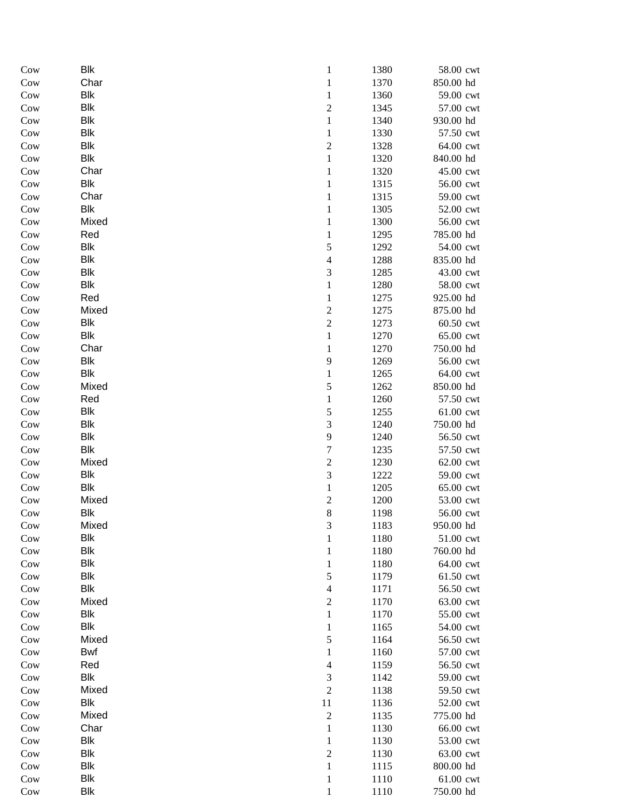| Cow | Blk        | $\mathbf{1}$            | 1380 | 58.00 cwt |
|-----|------------|-------------------------|------|-----------|
| Cow | Char       | $\,1$                   | 1370 | 850.00 hd |
| Cow | <b>Blk</b> | $\,1\,$                 | 1360 | 59.00 cwt |
| Cow | <b>Blk</b> | $\overline{\mathbf{c}}$ | 1345 | 57.00 cwt |
| Cow | <b>Blk</b> | $\,1$                   | 1340 | 930.00 hd |
| Cow | <b>Blk</b> | $\,1$                   | 1330 | 57.50 cwt |
| Cow | <b>Blk</b> | $\overline{c}$          | 1328 | 64.00 cwt |
| Cow | Blk        | $\,1$                   | 1320 | 840.00 hd |
| Cow | Char       | $\mathbf{1}$            | 1320 | 45.00 cwt |
| Cow | <b>Blk</b> | $\mathbf{1}$            | 1315 | 56.00 cwt |
| Cow | Char       | $\mathbf{1}$            | 1315 | 59.00 cwt |
| Cow | <b>Blk</b> | $\mathbf{1}$            | 1305 | 52.00 cwt |
| Cow | Mixed      | $\mathbf{1}$            | 1300 | 56.00 cwt |
| Cow | Red        | $\mathbf{1}$            | 1295 | 785.00 hd |
| Cow | Blk        | 5                       | 1292 | 54.00 cwt |
| Cow | Blk        | $\overline{4}$          | 1288 | 835.00 hd |
| Cow | <b>Blk</b> | 3                       | 1285 | 43.00 cwt |
| Cow | Blk        | $\,1$                   | 1280 | 58.00 cwt |
| Cow | Red        | $\,1$                   | 1275 | 925.00 hd |
| Cow | Mixed      | $\overline{\mathbf{c}}$ | 1275 | 875.00 hd |
| Cow | <b>Blk</b> | $\overline{c}$          | 1273 | 60.50 cwt |
| Cow | <b>Blk</b> | $\,1$                   | 1270 | 65.00 cwt |
| Cow | Char       | $\,1$                   | 1270 | 750.00 hd |
| Cow | <b>Blk</b> | 9                       | 1269 | 56.00 cwt |
| Cow | <b>Blk</b> | $\mathbf{1}$            | 1265 | 64.00 cwt |
| Cow | Mixed      | 5                       | 1262 | 850.00 hd |
| Cow | Red        | $\mathbf{1}$            | 1260 | 57.50 cwt |
| Cow | Blk        | 5                       | 1255 | 61.00 cwt |
| Cow | <b>Blk</b> | 3                       | 1240 | 750.00 hd |
| Cow | Blk        | 9                       | 1240 | 56.50 cwt |
| Cow | Blk        | $\sqrt{ }$              | 1235 | 57.50 cwt |
| Cow | Mixed      | $\overline{c}$          | 1230 | 62.00 cwt |
| Cow | <b>Blk</b> | 3                       | 1222 | 59.00 cwt |
| Cow | Blk        | $\,1$                   | 1205 | 65.00 cwt |
| Cow | Mixed      | $\overline{\mathbf{c}}$ | 1200 | 53.00 cwt |
| Cow | <b>Blk</b> | 8                       | 1198 | 56.00 cwt |
| Cow | Mixed      | 3                       | 1183 | 950.00 hd |
| Cow | Blk        | $\mathbf{1}$            | 1180 | 51.00 cwt |
| Cow | <b>Blk</b> | $\mathbf{1}$            | 1180 | 760.00 hd |
| Cow | <b>Blk</b> | $\mathbf{1}$            | 1180 | 64.00 cwt |
| Cow | <b>Blk</b> | 5                       | 1179 | 61.50 cwt |
| Cow | <b>Blk</b> | $\overline{4}$          | 1171 | 56.50 cwt |
| Cow | Mixed      | $\boldsymbol{2}$        | 1170 | 63.00 cwt |
| Cow | <b>Blk</b> | $\,1$                   | 1170 | 55.00 cwt |
| Cow | <b>Blk</b> | $\mathbf{1}$            | 1165 | 54.00 cwt |
| Cow | Mixed      | 5                       | 1164 | 56.50 cwt |
| Cow | Bwf        | $\mathbf{1}$            | 1160 | 57.00 cwt |
| Cow | Red        | $\overline{4}$          | 1159 | 56.50 cwt |
| Cow | Blk        | $\mathfrak{Z}$          | 1142 | 59.00 cwt |
| Cow | Mixed      | $\sqrt{2}$              | 1138 | 59.50 cwt |
| Cow | <b>Blk</b> | $1\,1$                  | 1136 | 52.00 cwt |
| Cow | Mixed      | $\sqrt{2}$              | 1135 | 775.00 hd |
| Cow | Char       | $\,1$                   | 1130 | 66.00 cwt |
| Cow | <b>Blk</b> | $\,1$                   | 1130 | 53.00 cwt |
| Cow | <b>Blk</b> | $\overline{c}$          | 1130 | 63.00 cwt |
| Cow | <b>Blk</b> | $\,1$                   | 1115 | 800.00 hd |
| Cow | <b>Blk</b> | $\mathbf{1}$            | 1110 | 61.00 cwt |
| Cow | <b>Blk</b> | $\mathbf{1}$            | 1110 | 750.00 hd |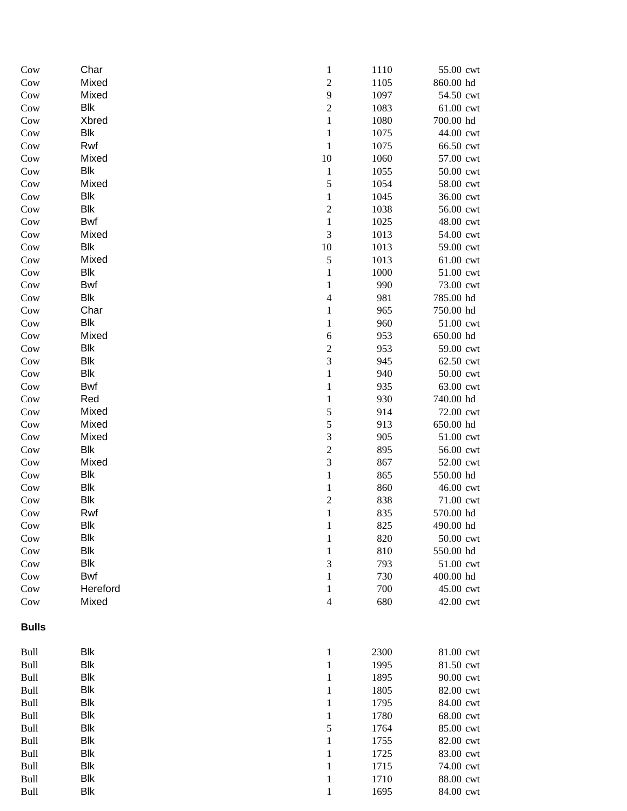| Cow          | Char                | $\,1$                       | 1110         | 55.00 cwt              |
|--------------|---------------------|-----------------------------|--------------|------------------------|
| Cow          | Mixed               | $\sqrt{2}$                  | 1105         | 860.00 hd              |
| Cow          | Mixed               | $\mathbf{9}$                | 1097         | 54.50 cwt              |
| Cow          | <b>Blk</b>          | $\overline{c}$              | 1083         | 61.00 cwt              |
| Cow          | Xbred               | $\,1$                       | 1080         | 700.00 hd              |
| Cow          | Blk                 | $\,1$                       | 1075         | 44.00 cwt              |
| Cow          | Rwf                 | $\mathbf{1}$                | 1075         | 66.50 cwt              |
| Cow          | Mixed               | 10                          | 1060         | 57.00 cwt              |
| Cow          | <b>Blk</b>          | $\mathbf{1}$                | 1055         | 50.00 cwt              |
| Cow          | Mixed               | 5                           | 1054         | 58.00 cwt              |
| Cow          | Blk                 | $\,1$                       | 1045         | 36.00 cwt              |
| Cow          | Blk                 | $\sqrt{2}$                  | 1038         | 56.00 cwt              |
| Cow          | <b>Bwf</b>          | $\,1$                       | 1025         | 48.00 cwt              |
| Cow          | Mixed               | $\ensuremath{\mathfrak{Z}}$ | 1013         | 54.00 cwt              |
| Cow          | <b>Blk</b><br>Mixed | 10                          | 1013         | 59.00 cwt              |
| Cow<br>Cow   | Blk                 | $\sqrt{5}$<br>$\,1$         | 1013<br>1000 | 61.00 cwt<br>51.00 cwt |
| Cow          | <b>Bwf</b>          | $\mathbf 1$                 | 990          | 73.00 cwt              |
| Cow          | <b>Blk</b>          | $\overline{4}$              | 981          | 785.00 hd              |
| Cow          | Char                | $\mathbf{1}$                | 965          | 750.00 hd              |
| Cow          | <b>Blk</b>          | $\,1$                       | 960          | 51.00 cwt              |
| Cow          | Mixed               | $\sqrt{6}$                  | 953          | 650.00 hd              |
| Cow          | <b>Blk</b>          | $\overline{\mathbf{c}}$     | 953          | 59.00 cwt              |
| Cow          | <b>Blk</b>          | 3                           | 945          | 62.50 cwt              |
| Cow          | Blk                 | $\,1$                       | 940          | 50.00 cwt              |
| Cow          | <b>Bwf</b>          | $\mathbf{1}$                | 935          | 63.00 cwt              |
| Cow          | Red                 | $\mathbf{1}$                | 930          | 740.00 hd              |
| Cow          | Mixed               | 5                           | 914          | 72.00 cwt              |
| Cow          | Mixed               | 5                           | 913          | 650.00 hd              |
| Cow          | Mixed               | 3                           | 905          | 51.00 cwt              |
| Cow          | <b>Blk</b>          | $\sqrt{2}$                  | 895          | 56.00 cwt              |
| Cow          | Mixed               | 3                           | 867          | 52.00 cwt              |
| Cow          | <b>Blk</b>          | $\,1$                       | 865          | 550.00 hd              |
| Cow          | <b>Blk</b>          | $\,1$                       | 860          | 46.00 cwt              |
| Cow          | Blk                 | $\boldsymbol{2}$            | 838          | 71.00 cwt              |
| Cow          | Rwf                 | $\,1$                       | 835          | 570.00 hd              |
| Cow          | <b>Blk</b>          | $\mathbf{I}$                | 825          | 490.00 hd              |
| Cow          | <b>Blk</b>          | $\mathbf{1}$                | 820          | 50.00 cwt              |
| Cow          | <b>Blk</b>          | $\,1$                       | 810          | 550.00 hd              |
| Cow          | <b>Blk</b>          | 3                           | 793          | 51.00 cwt              |
| Cow          | Bwf                 | $\mathbf{1}$                | 730          | 400.00 hd              |
| Cow          | Hereford            | $\mathbf{1}$                | 700          | 45.00 cwt              |
| Cow          | Mixed               | $\overline{4}$              | 680          | 42.00 cwt              |
| <b>Bulls</b> |                     |                             |              |                        |
| Bull         | <b>Blk</b>          | $\mathbf{1}$                | 2300         | 81.00 cwt              |
| Bull         | <b>Blk</b>          | $\mathbf{1}$                | 1995         | 81.50 cwt              |
| Bull         | <b>Blk</b>          | $\mathbf 1$                 | 1895         | 90.00 cwt              |
| Bull         | <b>Blk</b>          | $\mathbf{1}$                | 1805         | 82.00 cwt              |
| Bull         | <b>Blk</b>          | $\mathbf{1}$                | 1795         | 84.00 cwt              |
| Bull         | <b>Blk</b>          | $\,1$                       | 1780         | 68.00 cwt              |
| Bull         | <b>Blk</b>          | 5                           | 1764         | 85.00 cwt              |
| <b>Bull</b>  | <b>Blk</b>          | $\,1$                       | 1755         | 82.00 cwt              |
| <b>Bull</b>  | <b>Blk</b>          | $\mathbf 1$                 | 1725         | 83.00 cwt              |
| <b>Bull</b>  | <b>Blk</b>          | $\mathbf 1$                 | 1715         | 74.00 cwt              |
| <b>Bull</b>  | <b>Blk</b>          | $\mathbf{1}$                | 1710         | 88.00 cwt              |
| <b>Bull</b>  | <b>Blk</b>          | $\mathbf{1}$                | 1695         | 84.00 cwt              |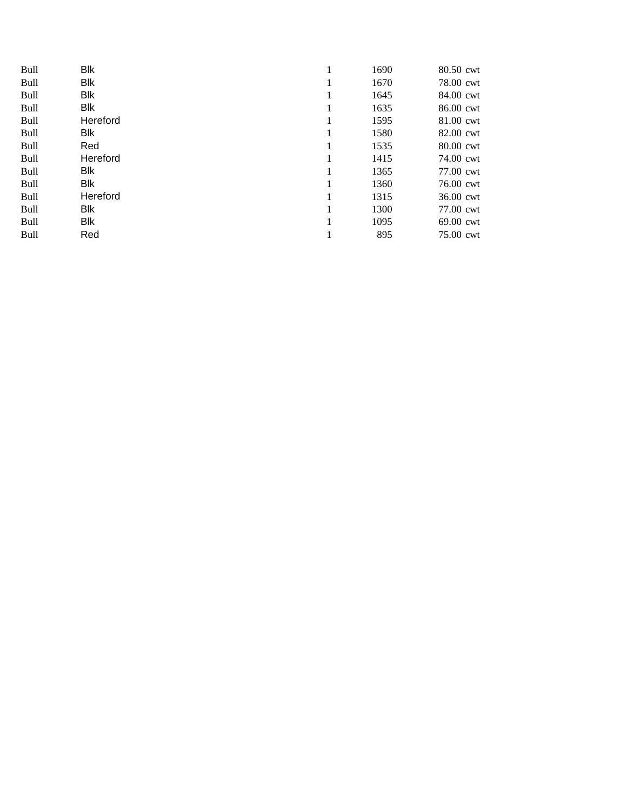| <b>Bull</b> | <b>Blk</b> |   | 1690 | 80.50 cwt |
|-------------|------------|---|------|-----------|
| <b>Bull</b> | <b>Blk</b> |   | 1670 | 78.00 cwt |
| <b>Bull</b> | <b>Blk</b> |   | 1645 | 84.00 cwt |
| <b>Bull</b> | <b>Blk</b> | 1 | 1635 | 86.00 cwt |
| <b>Bull</b> | Hereford   |   | 1595 | 81.00 cwt |
| <b>Bull</b> | Blk        |   | 1580 | 82.00 cwt |
| <b>Bull</b> | Red        |   | 1535 | 80.00 cwt |
| <b>Bull</b> | Hereford   |   | 1415 | 74.00 cwt |
| <b>Bull</b> | Blk        |   | 1365 | 77.00 cwt |
| <b>Bull</b> | <b>Blk</b> |   | 1360 | 76.00 cwt |
| <b>Bull</b> | Hereford   |   | 1315 | 36.00 cwt |
| <b>Bull</b> | Blk        |   | 1300 | 77.00 cwt |
| <b>Bull</b> | Blk        |   | 1095 | 69.00 cwt |
| <b>Bull</b> | Red        |   | 895  | 75.00 cwt |